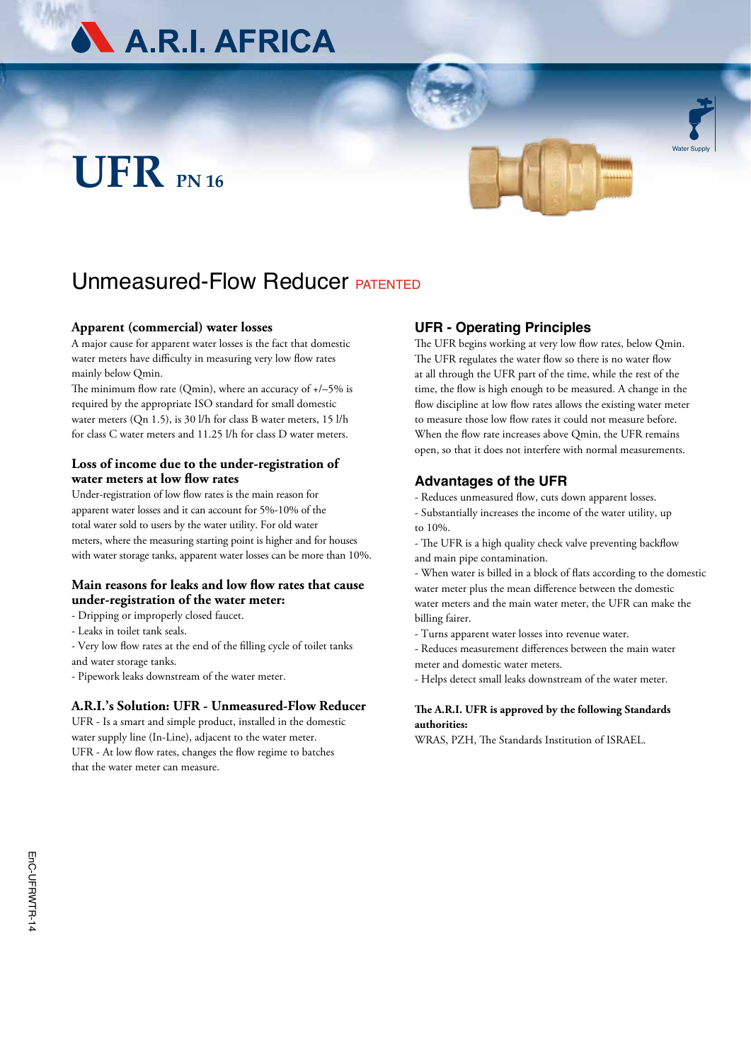

# **UFR PN 16**



Water Supply

# Unmeasured-Flow Reducer **PATENTED**

#### **Apparent (commercial) water losses**

A major cause for apparent water losses is the fact that domestic water meters have difficulty in measuring very low flow rates mainly below Qmin.

The minimum flow rate (Qmin), where an accuracy of +/–5% is required by the appropriate ISO standard for small domestic water meters (Qn 1.5), is 30 l/h for class B water meters, 15 l/h for class C water meters and 11.25 l/h for class D water meters.

## **Loss of income due to the under-registration of water meters at low flow rates**

Under-registration of low flow rates is the main reason for apparent water losses and it can account for 5%-10% of the total water sold to users by the water utility. For old water meters, where the measuring starting point is higher and for houses with water storage tanks, apparent water losses can be more than 10%.

## **Main reasons for leaks and low flow rates that cause under-registration of the water meter:**

- Dripping or improperly closed faucet.
- Leaks in toilet tank seals.

- Very low flow rates at the end of the filling cycle of toilet tanks and water storage tanks.

- Pipework leaks downstream of the water meter.

#### **A.R.I.'s Solution: UFR - Unmeasured-Flow Reducer**

UFR - Is a smart and simple product, installed in the domestic water supply line (In-Line), adjacent to the water meter. UFR - At low flow rates, changes the flow regime to batches that the water meter can measure.

# **UFR - Operating Principles**

The UFR begins working at very low flow rates, below Omin. The UFR regulates the water flow so there is no water flow at all through the UFR part of the time, while the rest of the time, the flow is high enough to be measured. A change in the flow discipline at low flow rates allows the existing water meter to measure those low flow rates it could not measure before. When the flow rate increases above Qmin, the UFR remains open, so that it does not interfere with normal measurements.

# **Advantages of the UFR**

- Reduces unmeasured flow, cuts down apparent losses.

- Substantially increases the income of the water utility, up to 10%.

- The UFR is a high quality check valve preventing backflow and main pipe contamination.

- When water is billed in a block of flats according to the domestic water meter plus the mean difference between the domestic water meters and the main water meter, the UFR can make the billing fairer.

- Turns apparent water losses into revenue water.

- Reduces measurement differences between the main water meter and domestic water meters.

- Helps detect small leaks downstream of the water meter.

#### **The A.R.I. UFR is approved by the following Standards authorities:**

WRAS, PZH, The Standards Institution of ISRAEL.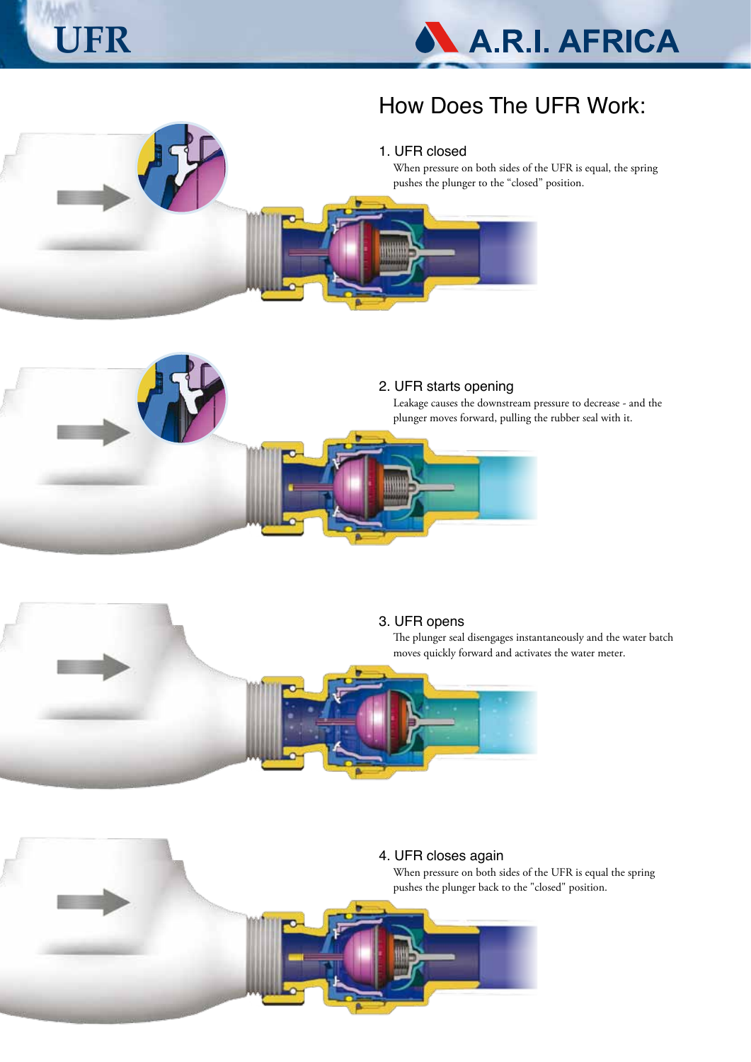



# How Does The UFR Work:

# 1. UFR closed

When pressure on both sides of the UFR is equal, the spring pushes the plunger to the "closed" position.





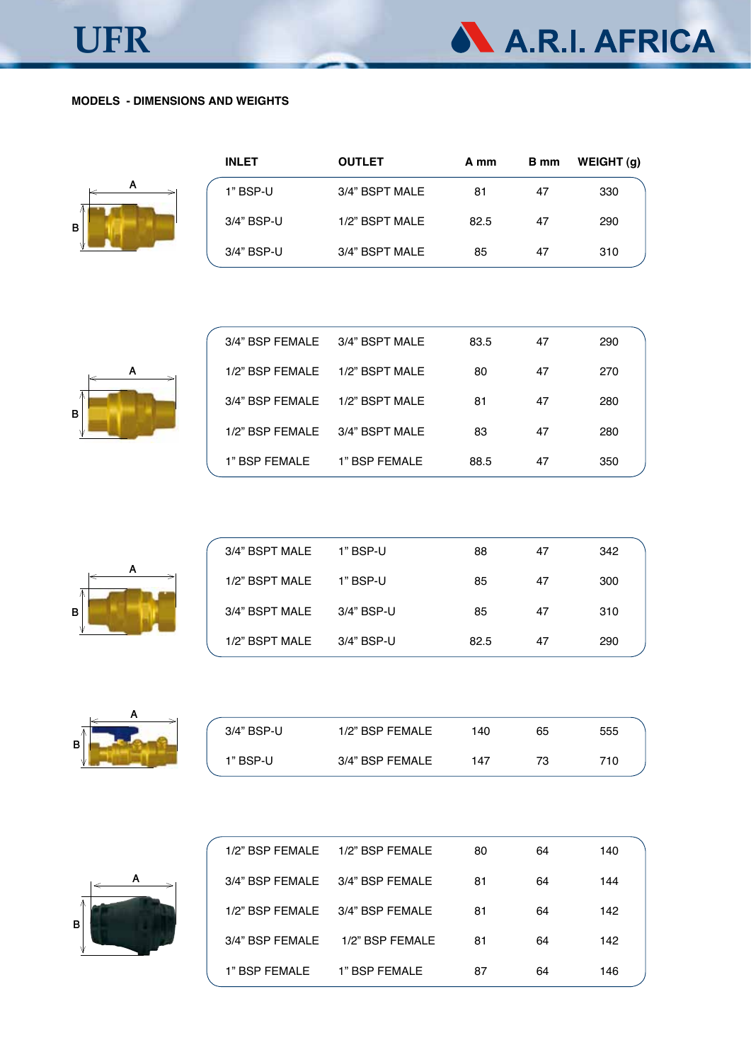

|                                 | 1/2" BSP FEMALE 1/2" BSP FEMALE | 80 | 64 | 140 |
|---------------------------------|---------------------------------|----|----|-----|
| 3/4" BSP FEMALE 3/4" BSP FEMALE |                                 | 81 | 64 | 144 |
|                                 | 1/2" BSP FEMALE 3/4" BSP FEMALE | 81 | 64 | 142 |
| 3/4" BSP FEMALE                 | 1/2" BSP FEMALE                 | 81 | 64 | 142 |
| 1" BSP FEMALE                   | 1" BSP FEMALE                   | 87 | 64 | 146 |



| 3/4" BSP-U | 1/2" BSP FEMALE | 140 | 65 | 555 |
|------------|-----------------|-----|----|-----|
| 1" BSP-U   | 3/4" BSP FEMALE | 147 | 73 | 710 |



| 3/4" BSPT MALE | 1" BSP-U   | 88   | 47 | 342 |
|----------------|------------|------|----|-----|
| 1/2" BSPT MALE | 1" BSP-U   | 85   | 47 | 300 |
| 3/4" BSPT MALE | 3/4" BSP-U | 85   | 47 | 310 |
| 1/2" BSPT MALE | 3/4" BSP-U | 82.5 | 47 | 290 |



| 3/4" BSP FEMALE 3/4" BSPT MALE |               | 83.5 | 47 | 290 |
|--------------------------------|---------------|------|----|-----|
| 1/2" BSP FEMALE 1/2" BSPT MALE |               | 80   | 47 | 270 |
| 3/4" BSP FEMALE 1/2" BSPT MALE |               | 81   | 47 | 280 |
| 1/2" BSP FEMALE 3/4" BSPT MALE |               | 83   | 47 | 280 |
| 1" BSP FEMALE                  | 1" BSP FEMALE | 88.5 | 47 | 350 |



| <b>INLET</b> | <b>OUTLET</b>  | A mm | B mm | WEIGHT(q) |
|--------------|----------------|------|------|-----------|
| 1" BSP-U     | 3/4" BSPT MALE | 81   | 47   | 330       |
| 3/4" BSP-U   | 1/2" BSPT MALE | 82.5 | 47   | 290       |
| 3/4" BSP-U   | 3/4" BSPT MALE | 85   | 47   | 310       |